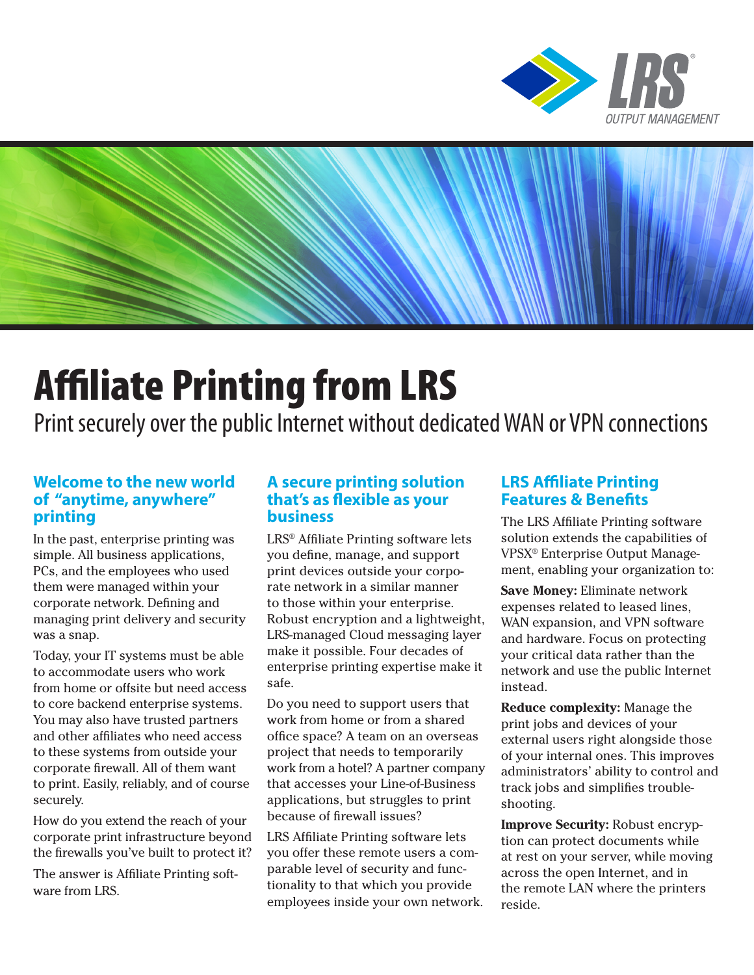



# Affiliate Printing from LRS

Print securely over the public Internet without dedicated WAN or VPN connections

## **Welcome to the new world of "anytime, anywhere" printing**

In the past, enterprise printing was simple. All business applications, PCs, and the employees who used them were managed within your corporate network. Defining and managing print delivery and security was a snap.

Today, your IT systems must be able to accommodate users who work from home or offsite but need access to core backend enterprise systems. You may also have trusted partners and other affiliates who need access to these systems from outside your corporate firewall. All of them want to print. Easily, reliably, and of course securely.

How do you extend the reach of your corporate print infrastructure beyond the firewalls you've built to protect it?

The answer is Affiliate Printing software from LRS.

## **A secure printing solution that's as flexible as your business**

LRS® Affiliate Printing software lets you define, manage, and support print devices outside your corporate network in a similar manner to those within your enterprise. Robust encryption and a lightweight, LRS-managed Cloud messaging layer make it possible. Four decades of enterprise printing expertise make it safe.

Do you need to support users that work from home or from a shared office space? A team on an overseas project that needs to temporarily work from a hotel? A partner company that accesses your Line-of-Business applications, but struggles to print because of firewall issues?

LRS Affiliate Printing software lets you offer these remote users a comparable level of security and functionality to that which you provide employees inside your own network.

# **LRS Affiliate Printing Features & Benefits**

The LRS Affiliate Printing software solution extends the capabilities of VPSX® Enterprise Output Management, enabling your organization to:

**Save Money:** Eliminate network expenses related to leased lines, WAN expansion, and VPN software and hardware. Focus on protecting your critical data rather than the network and use the public Internet instead.

**Reduce complexity:** Manage the print jobs and devices of your external users right alongside those of your internal ones. This improves administrators' ability to control and track jobs and simplifies troubleshooting.

**Improve Security:** Robust encryption can protect documents while at rest on your server, while moving across the open Internet, and in the remote LAN where the printers reside.